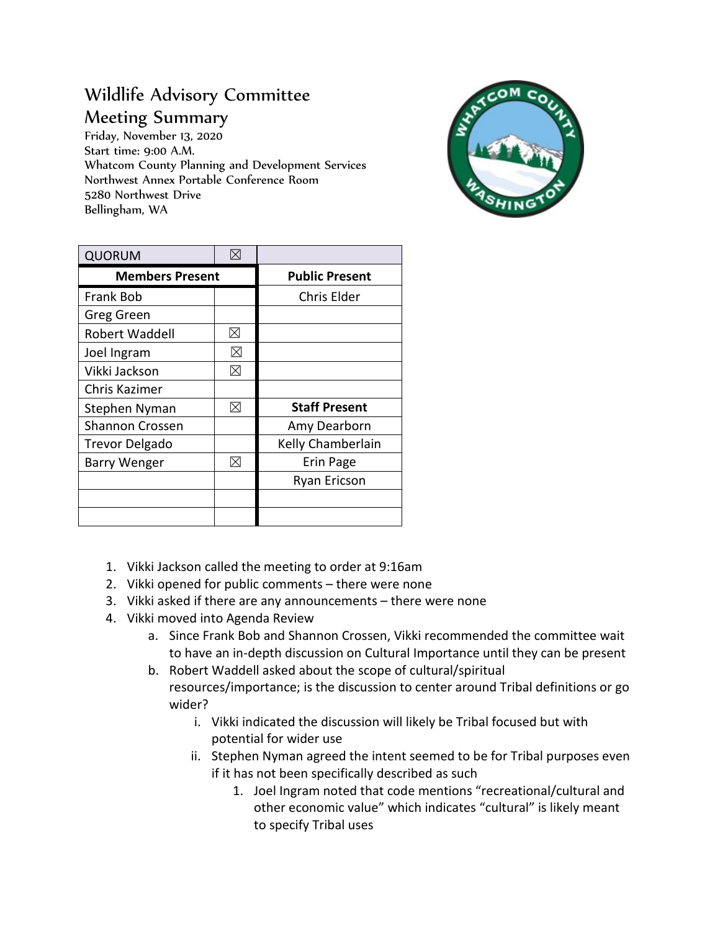## Wildlife Advisory Committee Meeting Summary

Friday, November 13, 2020 Start time: 9:00 A.M. Whatcom County Planning and Development Services Northwest Annex Portable Conference Room 5280 Northwest Drive Bellingham, WA



| <b>QUORUM</b>          | $\boxtimes$ |                       |
|------------------------|-------------|-----------------------|
| <b>Members Present</b> |             | <b>Public Present</b> |
| <b>Frank Bob</b>       |             | Chris Elder           |
| Greg Green             |             |                       |
| Robert Waddell         | $\boxtimes$ |                       |
| Joel Ingram            | $\boxtimes$ |                       |
| Vikki Jackson          | ⊠           |                       |
| Chris Kazimer          |             |                       |
| Stephen Nyman          | ⊠           | <b>Staff Present</b>  |
| <b>Shannon Crossen</b> |             | Amy Dearborn          |
| <b>Trevor Delgado</b>  |             | Kelly Chamberlain     |
| Barry Wenger           | ⊠           | Erin Page             |
|                        |             | Ryan Ericson          |
|                        |             |                       |
|                        |             |                       |

- 1. Vikki Jackson called the meeting to order at 9:16am
- 2. Vikki opened for public comments there were none
- 3. Vikki asked if there are any announcements there were none
- 4. Vikki moved into Agenda Review
	- a. Since Frank Bob and Shannon Crossen, Vikki recommended the committee wait to have an in-depth discussion on Cultural Importance until they can be present
	- b. Robert Waddell asked about the scope of cultural/spiritual resources/importance; is the discussion to center around Tribal definitions or go wider?
		- i. Vikki indicated the discussion will likely be Tribal focused but with potential for wider use
		- ii. Stephen Nyman agreed the intent seemed to be for Tribal purposes even if it has not been specifically described as such
			- 1. Joel Ingram noted that code mentions "recreational/cultural and other economic value" which indicates "cultural" is likely meant to specify Tribal uses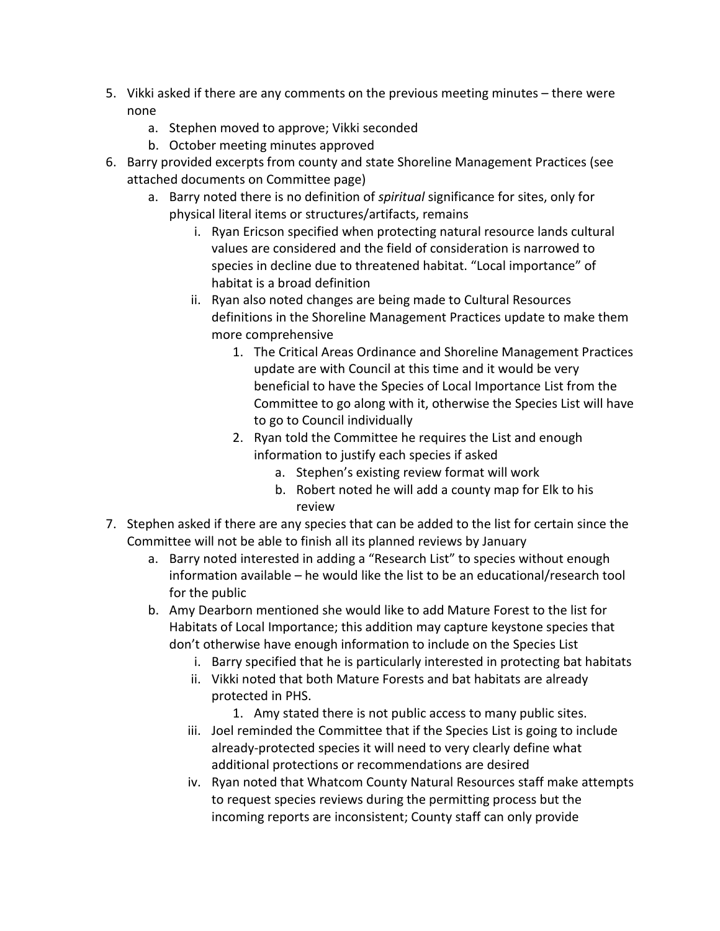- 5. Vikki asked if there are any comments on the previous meeting minutes there were none
	- a. Stephen moved to approve; Vikki seconded
	- b. October meeting minutes approved
- 6. Barry provided excerpts from county and state Shoreline Management Practices (see attached documents on Committee page)
	- a. Barry noted there is no definition of *spiritual* significance for sites, only for physical literal items or structures/artifacts, remains
		- i. Ryan Ericson specified when protecting natural resource lands cultural values are considered and the field of consideration is narrowed to species in decline due to threatened habitat. "Local importance" of habitat is a broad definition
		- ii. Ryan also noted changes are being made to Cultural Resources definitions in the Shoreline Management Practices update to make them more comprehensive
			- 1. The Critical Areas Ordinance and Shoreline Management Practices update are with Council at this time and it would be very beneficial to have the Species of Local Importance List from the Committee to go along with it, otherwise the Species List will have to go to Council individually
			- 2. Ryan told the Committee he requires the List and enough information to justify each species if asked
				- a. Stephen's existing review format will work
				- b. Robert noted he will add a county map for Elk to his review
- 7. Stephen asked if there are any species that can be added to the list for certain since the Committee will not be able to finish all its planned reviews by January
	- a. Barry noted interested in adding a "Research List" to species without enough information available – he would like the list to be an educational/research tool for the public
	- b. Amy Dearborn mentioned she would like to add Mature Forest to the list for Habitats of Local Importance; this addition may capture keystone species that don't otherwise have enough information to include on the Species List
		- i. Barry specified that he is particularly interested in protecting bat habitats
		- ii. Vikki noted that both Mature Forests and bat habitats are already protected in PHS.
			- 1. Amy stated there is not public access to many public sites.
		- iii. Joel reminded the Committee that if the Species List is going to include already-protected species it will need to very clearly define what additional protections or recommendations are desired
		- iv. Ryan noted that Whatcom County Natural Resources staff make attempts to request species reviews during the permitting process but the incoming reports are inconsistent; County staff can only provide